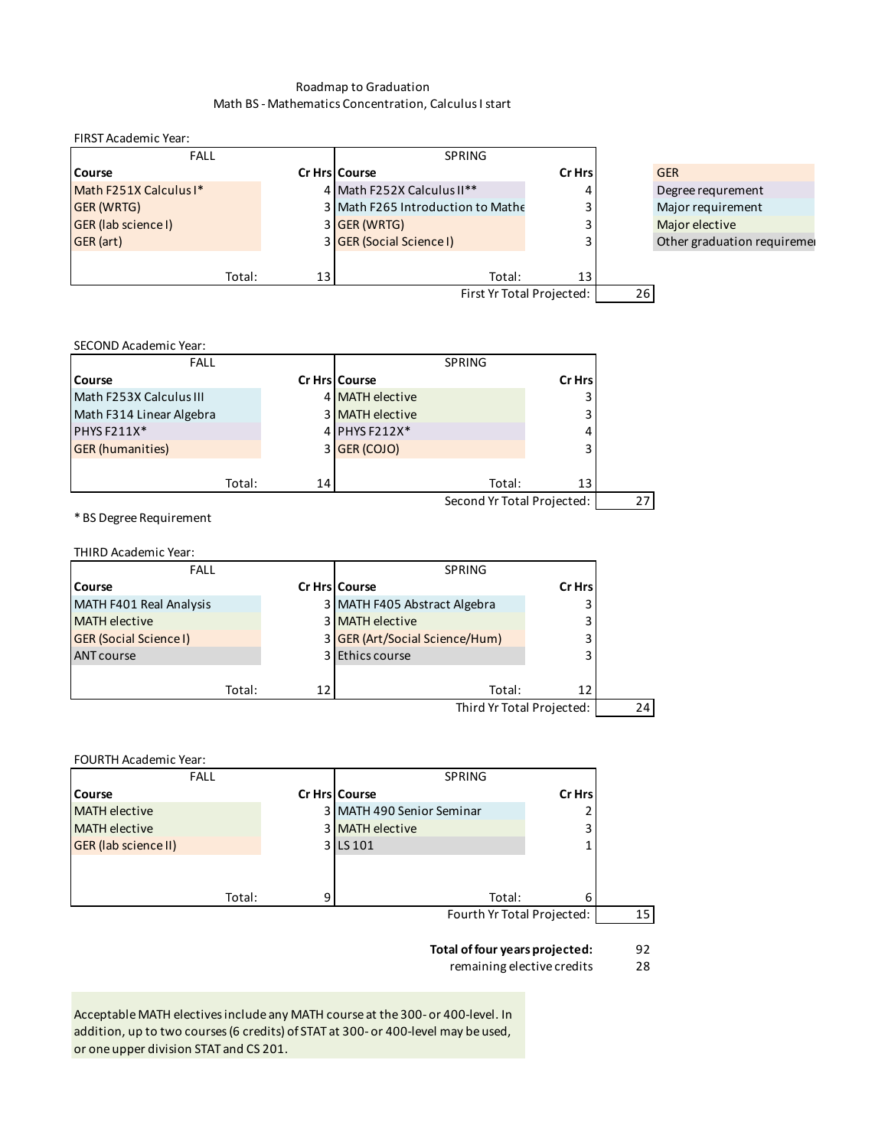## Roadmap to Graduation Math BS - Mathematics Concentration, Calculus I start

FIRST Academic Year:

| <b>FALL</b>                |        |    | <b>SPRING</b>                     |         |    |                             |
|----------------------------|--------|----|-----------------------------------|---------|----|-----------------------------|
| <b>Course</b>              |        |    | Cr Hrs Course                     | Cr Hrsl |    | <b>GER</b>                  |
| Math F251X Calculus I*     |        |    | 4 Math F252X Calculus II**        | 4       |    | Degree requrement           |
| <b>GER (WRTG)</b>          |        |    | 3 Math F265 Introduction to Mathe | 31      |    | Major requirement           |
| <b>GER (lab science I)</b> |        |    | 3 GER (WRTG)                      |         |    | Major elective              |
| GER (art)                  |        |    | 3 GER (Social Science I)          |         |    | Other graduation requiremen |
|                            |        |    |                                   |         |    |                             |
|                            | Total: | 13 | Total:                            | 131     |    |                             |
| First Yr Total Projected:  |        |    |                                   |         | 26 |                             |

#### SECOND Academic Year:

| <b>FALL</b>              |        |    |                        | <b>SPRING</b>              |        |  |
|--------------------------|--------|----|------------------------|----------------------------|--------|--|
| Course                   |        |    | <b>Cr Hrs Course</b>   |                            | Cr Hrs |  |
| Math F253X Calculus III  |        |    | 4 MATH elective        |                            |        |  |
| Math F314 Linear Algebra |        |    | <b>3 MATH elective</b> |                            |        |  |
| PHYS F211X*              |        |    | 4 PHYS F212X*          |                            |        |  |
| <b>GER</b> (humanities)  |        |    | 3 GER (COJO)           |                            |        |  |
|                          |        |    |                        |                            |        |  |
|                          | Total: | 14 |                        | Total:                     | 13     |  |
|                          |        |    |                        | Second Yr Total Projected: |        |  |

\* BS Degree Requirement

THIRD Academic Year:

| <b>FALL</b>                   |    | SPRING                         |        |  |
|-------------------------------|----|--------------------------------|--------|--|
| Course                        |    | <b>Cr Hrs Course</b>           | Cr Hrs |  |
| MATH F401 Real Analysis       |    | 3 MATH F405 Abstract Algebra   |        |  |
| <b>MATH elective</b>          |    | <b>3</b> MATH elective         |        |  |
| <b>GER (Social Science I)</b> |    | 3 GER (Art/Social Science/Hum) |        |  |
| <b>ANT course</b>             |    | 3 Ethics course                |        |  |
| Total:                        | 12 | Total:                         | 12     |  |
|                               |    | Third Yr Total Projected:      |        |  |

# FOURTH Academic Year:

|                             | <b>FALL</b> | <b>SPRING</b>             |                            |  |
|-----------------------------|-------------|---------------------------|----------------------------|--|
| <b>Course</b>               |             | Cr Hrs   Course           | Cr Hrs                     |  |
| <b>MATH</b> elective        |             | 3 MATH 490 Senior Seminar |                            |  |
| <b>MATH</b> elective        |             | 3 MATH elective           |                            |  |
| <b>GER</b> (lab science II) |             | 3 LS 101                  |                            |  |
|                             |             |                           |                            |  |
|                             | Total:      | Total:                    | 6                          |  |
|                             |             |                           | Fourth Yr Total Projected: |  |

**Total of four years projected:** 92

remaining elective credits 28

Acceptable MATH electives include any MATH course at the 300- or 400-level. In addition, up to two courses (6 credits) of STAT at 300- or 400-level may be used, or one upper division STAT and CS 201.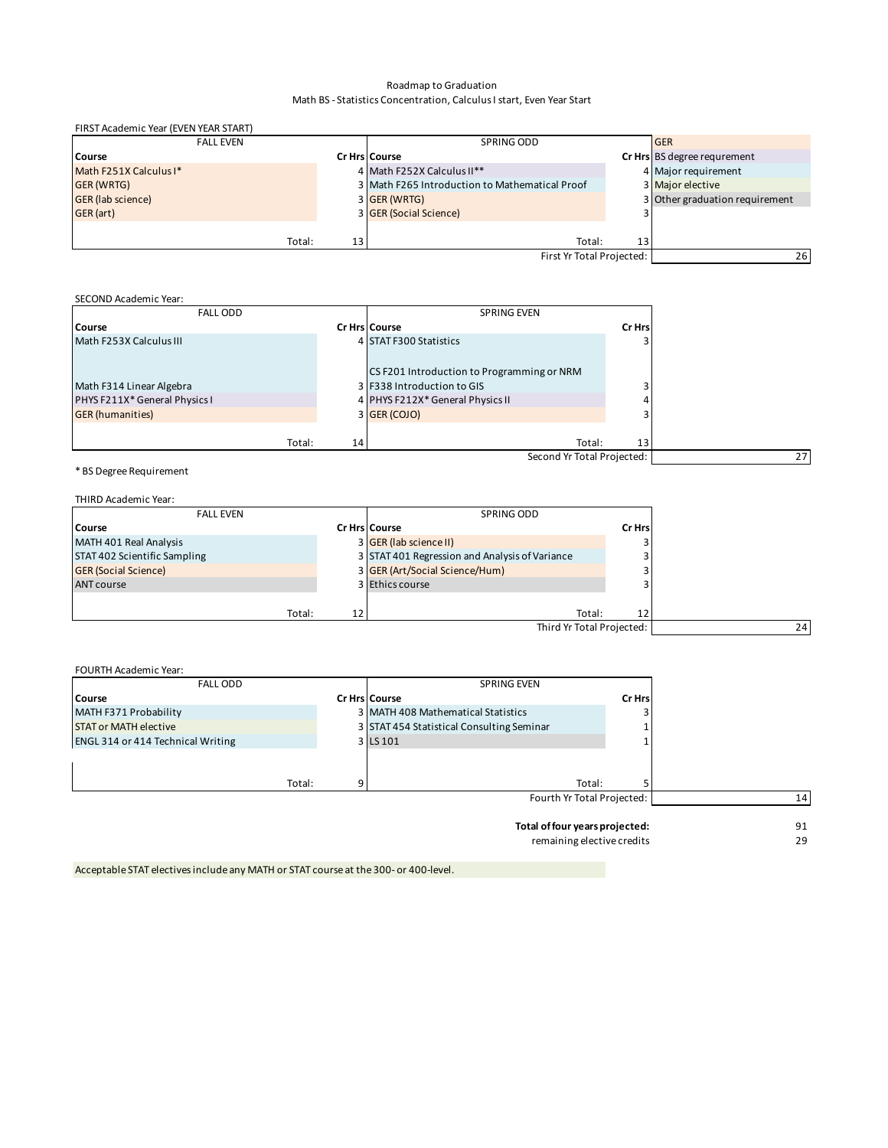#### Roadmap to Graduation Math BS - Statistics Concentration, Calculus I start, Even Year Start

| FIRST Academic Year (EVEN YEAR START) |            |                                                |            |                                |
|---------------------------------------|------------|------------------------------------------------|------------|--------------------------------|
| <b>FALL EVEN</b>                      | SPRING ODD |                                                | <b>GER</b> |                                |
| Course                                |            | <b>Cr Hrs Course</b>                           |            | Cr Hrs BS degree requrement    |
| Math F251X Calculus I*                |            | 4 Math F252X Calculus II**                     |            | 4 Major requirement            |
| <b>GER (WRTG)</b>                     |            | 3 Math F265 Introduction to Mathematical Proof |            | 3 Major elective               |
| <b>GER</b> (lab science)              |            | 3 GER (WRTG)                                   |            | 3 Other graduation requirement |
| GER (art)                             |            | 3 GER (Social Science)                         |            |                                |
|                                       |            |                                                |            |                                |
| Total:                                | 13         | Total:                                         | 13         |                                |
|                                       |            | First Yr Total Projected:                      |            | 26                             |

## SECOND Academic Year:

| <b>FALL ODD</b>               |    | <b>SPRING EVEN</b>                         |        |
|-------------------------------|----|--------------------------------------------|--------|
| Course                        |    | Cr Hrs Course                              | Cr Hrs |
| Math F253X Calculus III       |    | 4 STAT F300 Statistics                     |        |
|                               |    | CS F201 Introduction to Programming or NRM |        |
| Math F314 Linear Algebra      |    | 3 F338 Introduction to GIS                 |        |
| PHYS F211X* General Physics I |    | 4 PHYS F212X* General Physics II           |        |
| <b>GER</b> (humanities)       |    | 3 GER (COJO)                               |        |
|                               |    |                                            |        |
| Total:                        | 14 | Total:                                     | 13     |
|                               |    | Second Yr Total Projected:                 |        |
|                               |    |                                            |        |

\* BS Degree Requirement

| THIRD Academic Year:         |    |                                                |        |
|------------------------------|----|------------------------------------------------|--------|
| <b>FALL EVEN</b>             |    | SPRING ODD                                     |        |
| Course                       |    | <b>Cr Hrs Course</b>                           | Cr Hrs |
| MATH 401 Real Analysis       |    | 3 GER (lab science II)                         |        |
| STAT 402 Scientific Sampling |    | 3 STAT 401 Regression and Analysis of Variance |        |
| <b>GER (Social Science)</b>  |    | 3 GER (Art/Social Science/Hum)                 |        |
| <b>ANT course</b>            |    | 3 Ethics course                                |        |
|                              |    |                                                |        |
| Total:                       | 12 | Total:                                         | 12     |
|                              |    | Third Yr Total Projected:                      |        |

| <b>FALL ODD</b>                          | <b>SPRING EVEN</b>                        |        |    |
|------------------------------------------|-------------------------------------------|--------|----|
| <b>Course</b>                            | <b>Cr Hrs Course</b>                      | Cr Hrs |    |
| MATH F371 Probability                    | 3 MATH 408 Mathematical Statistics        |        |    |
| <b>STAT or MATH elective</b>             | 3 STAT 454 Statistical Consulting Seminar |        |    |
| <b>ENGL 314 or 414 Technical Writing</b> | 3 LS 101                                  |        |    |
|                                          |                                           |        |    |
|                                          |                                           |        |    |
| Total:                                   | Total:                                    |        |    |
|                                          | Fourth Yr Total Projected:                |        | 14 |
|                                          | Total of four years projected:            |        | 91 |

remaining elective credits 29

Acceptable STAT electives include any MATH or STAT course at the 300- or 400-level.